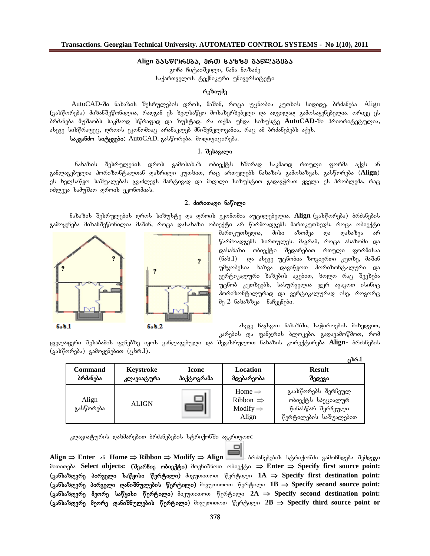## **Align gasworeba, erT xazze ganlageba**

გოჩა ჩიტაიშვილი, ნანა ნოზაძე საქართველოს ტექნიკური უნივერსიტეტი

# რეზიუმე

AutoCAD-ში ნახაზის შესრულების დროს, მაშინ, როცა უცნობია კუთხის სიდიდე, ბრძანება Align (გასწორება) მიზანშეწონილია, რადგან ეს ხელსაწყო მოსახერხებელი და ადვილად გამოსაყენებელია. ორივე ეს ბრძანება მუშაობს საკმაოდ სწრაფად და ზუსტად. რა თქმა უნდა სიზუსტე **AutoCAD-**ში პრიორიტეტულია, ასევე სისწრაფეც, დროის ეკონომიაც არანაკლებ მნიშვნელოვანია, რაც ამ ბრძანებებს აქვს.

**საკვანძო სიტყვები:** AutoCAD. გასწორება. მოდიფიცირება.

# **1.** შესავალი

ნახაზის შესრულების დროს გამოსახაზ ობიექტს ხშირად საკმაოდ რთული ფორმა აქვს ან განლაგებულია ჰორიზონტალთან დახრილი კუთხით, რაც ართულებს ნახაზის გამოხაზვას. გასწორება (Align) ეს ხელსაწყო საშუალებას გვაძლევს მარტივად და მაღალი სიზუსტით გადავჭრათ ყველა ეს პრობლემა, რაც odლევა სამუშაო დროის ეკონომიას.

### 2. doრითადი **ნაწილი**

ნახაზის შესრულების დროს სიზუსტე და დროის ეკონომია აუცილებელია. **Align** (გასწორება) ბრძანების გამოყენება მიზანშეწონილია მაშინ, როცა დასახაზი ობიექტი არ წარმოადგენს მართკუთხედს. როცა ობიექტი



მართკუთხედია, მისი აზომვა და დახაზვა არ  $\mathfrak f$ არმოადგენს სირთულეს. მაგრამ, როცა ასაზომი და დასახაზი ობიექტი შედარებით რთული ფორმისაა  $(6s6.1)$  და ასევე უცნობია ზოგიერთი კუთხე, მაშინ უმჯობესია ხაზვა დავიწყოთ ჰორიზონტალური და ვერტიკალური ხაზების აგებით, ხოლო რაც შეეხება უცნობ კუთხეებს, სასურველია ჯერ ავაგოთ ისინიც ჰორიზონტალურად და ვერტიკალურად ისე, როგორ $\overline{\mathrm{g}}$ მე- $2$  ნახაზზეა ნაჩვენები.

 $\delta$ ასევე ჩავსვათ ნახაზში, საჭიროების მიხედვით, კარების და ფანჯრის ბლოკები. გადავამოწმოთ, რომ

**cxr.1**

y3ელაფერი შესაბამის ფენებზე იყოს განლაგებული და შევასრულოთ ნახაზის კორექტირება **Align**- ბრძანების  $(g\Delta\mathfrak{b}\mathfrak{g} \cap \mathfrak{c}_1)$  and  $(g\Delta\mathfrak{b} \cap \mathfrak{c}_2)$ .

|                     |                         |                            |                                                                             | 730CO.L                                                                               |
|---------------------|-------------------------|----------------------------|-----------------------------------------------------------------------------|---------------------------------------------------------------------------------------|
| Command<br>ბრძანება | Keystroke<br>კლავიატურა | <b>Iconc</b><br>პიქტოგრამა | Location<br>მდებარეობა                                                      | <b>Result</b><br>შეღეგი                                                               |
| Align<br>გასწორება  | <b>ALIGN</b>            | m.                         | Home $\Rightarrow$<br>Ribbon $\Rightarrow$<br>Modify $\Rightarrow$<br>Align | გაასწორებს შერჩეულ<br>ობიექტს სპეციალურ<br>წინასწარ შერჩეული<br>წერტილების საშუალებით |

კლავიატურის დახმარებით ბრძანებების სტრიქონში ავკრიფოთ:

**Align ⇒ Enter** ან Home ⇒ Ribbon ⇒ Modify ⇒ Align **in Align** & გამინიქონში გამოჩნღება შემდეგი მითითება Select objects: (შეარჩიე ობიექტი) მოვნიშნოთ ობიექტი ⇒ Enter ⇒ Specify first source point:  $\langle$  (განსაზღვრე პირველი საწყისი წერტილი) მივუთითოთ წერტილი 1A ⇒ Specify first destination point:  $($ განსაზღვრე პირველი დანიშნულების წერტილი) მივუთითოთ წერტილი 1B ⇒ Specify second source point:  $\langle$  35 \$ 390 \$ 390 \$ 390 \$ 300 \$ 300 \$ 300 \$ 300 \$ 300 \$ 400 \$ 300 \$ 400 \$ 400 \$ 400 \$ 400 \$ 400 \$ 400 \$ 400 \$ 400 \$ 400 \$ 400 \$ 400 \$ 400 \$ 400 \$ 400 \$ 400 \$ 400 \$ 400 \$ 400 \$ 400 \$ 400 \$ 400 \$ 400 \$ 400 \$ 400 \$ 400 \$  $\langle$  gabbabgan and gabot mess were the solution of an interpretation of  $\langle$  and  $\rangle$  and  $\langle$  and  $\rangle$  and  $\langle$  and  $\rangle$  and  $\langle$  and  $\rangle$  and  $\rangle$  and  $\rangle$  and  $\rangle$  and  $\rangle$  and  $\rangle$  and  $\rangle$  and  $\rangle$  and  $\rangle$  and  $\rangle$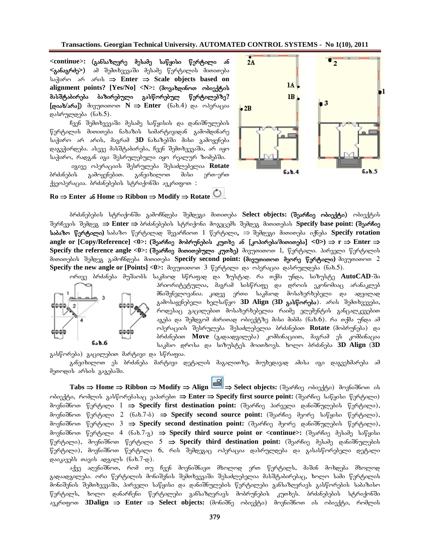**Transactions. Georgian Technical University. AUTOMATED CONTROL SYSTEMS - No 1(10), 2011**

<continue>: (განსაზღვრე მესამე საწყისი წერტილი ან **<განაგრძე>)** ამ შემთხვევაში მესამე წერტილის მითითება ba≹oრო არ არის ⇒ Enter ⇒ Scale objects based on **alignment points? [Yes/No] <N>: (movaxdinoT obieqtis** მასშტაბირება ბაზირებული გასწორებულ წერტილებზე?  $[\cos \theta / \sin \theta]$  dogmonomon  $N \implies$  **Enter** (6sb.4) ga magmetas დასრულდება  $(6s_5)$ .

ჩვენ შემთხვევაში მესამე საწყისის და დანიშნულების წერტილის მითითება ნახაზის სიმარტივიდან გამომდინარე საჭირო არ არის, მაგრამ 3D ნახაზებში მისი გამოყენება დაგვჭირდება. ასევე მასშტაბირება, ჩვენ შემთხვევაში, არ იყო საჭირო, რადგან იგი შესრულებული იყო რეალურ ზომებში.

იგივე ოპერაციის შესრულება შესაძლებელია **Rotate** ბრძანების გამოყენებით. განვიხილოთ მისი ერთ-ერთ  $f_3$ ეოპერაცია. ბრძანებების სტრიქონში ავკრიფოთ $\colon$ 



 $\text{Ro} \Rightarrow \text{Enter}$  **and**  $\text{Home} \Rightarrow \text{Ribbon} \Rightarrow \text{Modify} \Rightarrow \text{Rotate}$ 

ბრძანებების სტრიქონში გამოჩნდება შემდეგი მითითება Select objects: (შეარჩიე ობიექტი) ობიექტის შერჩევის შემდეგ ⇒ Enter ⇒ ბრძანებების სტრიქონი მოგვცემს შემდეგ მითითებას Specify base point: (შეარჩიე  $\bf{b}$ აბაზო წერტილი) საბაზო წერტილად შევარჩიოთ  $\bf{1}$  წერტილი, ⇒ შემდეგი მითითება იქნება <code>Specify</code> rotation **angle** or [Copy/Reference] <0>: (შეარჩიე მობრუნების კუთხე ან [კოპირება/მითითება] <0>) ⇒ r ⇒ Enter ⇒ **Specify the reference angle <0>: (შეარჩიე მითითებული კუთხე) მივუთითოთ 1, წერტილი. პირველი წერტილის** მითითების შემდეგ გამოჩნდება მითითება Specify second point: (მივუთითოთ მეორე წერტილი) მივუთითოთ 2 **Specify** the new angle or [Points] <0>: dog mooro 3  $\eta$  πρόβριστο του συλητούριση φυλό (656.5).



ორივე ბრძანება მუშაობს საკმაოდ სწრაფად და ზუსტად. რა თქმა უნდა, სიზუსტე **AutoCAD**-ში პრიორიტეტულია, მაგრამ სისწრაფე და დროის ეკონომიაც არანაკლებ .<br>მნიშვნელოვანია. კიდევ ერთი საკმაოდ მოსახერხებელი და ადვილად გამოსაყენებელი ხელსაწყო **3D Align (3D გასწორება**). არის შემთხვევები, როდესაც გაცილებით მოსახერხებელია რაიმე ელემენტის განცალკევებით აგება და შემდგომ ძირითად ობიექტზე მისი მიბმა (ნახ.6). რა თქმა უნდა ამ ოპერაციის შესრულება შესაძლებელია ბრძანებით **Rotate** (მობრუნება) და ბრძანებით **Move** (გადაადგილება) კომბინაციით, მაგრამ ეს კომბინაცია საკმაო დროსა და სიზუსტეს მოითხოვს. ხოლო ბრძანება 3D Align (3D

გასწორება) გაცილებით მარტივი და სწრაფია. განვიხილოთ ეს ბრძანება მარტივი დეტალის მაგალითზე, მიუხედავად ამისა იგი დაგვეხმარება ამ მეთოდის არსის გაგებაში.

**Tabs** ⇒ Home ⇒ Ribbon ⇒ Modify ⇒ Align  $\frac{|\mathbf{E}||}{|\mathbf{E}|}$  ⇒ Select objects: (შეარჩიე ობიექტი) მოვნიშნოთ ის ობიექტი, რომლის გასწორებასაც ვაპირებთ ⇒ Enter ⇒ Specify first source point: (შეარჩიე საწყისი წერტილი) მოვნიშნოთ წერტილი 1 **⇒ Specify first destination point:** (შეარჩიე პირველი დანიშნულების წერტილი), მოვნიშნოთ წერტილი 2 (ნახ.7-ბ) **⇒ Specify second source point:** (შეარჩიე მეორე საწყისი წერტილი), მოვნიშნოთ წერტილი 3 **⇒ Specify second destination point:** (შეარჩიე მეორე დანიშნულების წერტილი), მოვნიშნოთ წერტილი 4 (ნახ.7-გ) **⇒ Specify third source point or <continue>:** (შეარჩიე მესამე საწყისი წერტილი), მოვნიშნოთ წერტილი 5 **⇒ Specify third destination point:** (შეარჩიე მესამე დანიშნულების წერტილი), მოვნიშნოთ წერტილი 6, რის შემდეგაც ოპერაცია დასრულდება და გასასწორებელი დეტალი  $\cos\alpha$ კავებს თავის ადგილს (ნახ.7-დ).

აქვე აღვნიშნოთ, რომ თუ ჩვენ მოვნიშნავთ მხოლოდ ერთ წერტილს, მაშინ მოხდება მხოლოდ გადაადგილება. ორი წერტილის მონიშვნის შემთხვევაში შესაძლებელია მასშტაბირებაც, ხოლო სამი წერტილის მონიშვნის შემთხვევაში, პირველი საწყისი და დანიშნულების წერტილები განსაზღვრავს გასწორების საბაზისო წერტილს, ხოლო დანარჩენი წერტილები განსაზღვრავს მობრუნების კუთხეს. ბრძანებების სტრიქონში ავკრიფოთ **3Dalign ⇒ Enter ⇒ Select objects:** (მონიშნე ობიექტი) მოვნიშნოთ ის ობიექტი, რომლის